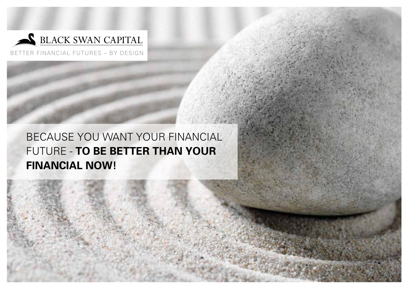

BETTER FINANCIAL FUTURES – BY DESIGN

BECAUSE YOU WANT YOUR FINANCIAL FUTURE - **TO BE BETTER THAN YOUR FINANCIAL NOW!**

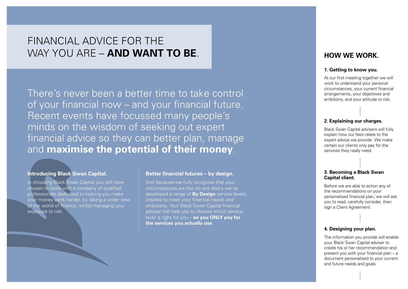# FINANCIAL ADVICE FOR THE WAY YOU ARE – **AND WANT TO BE**.

There's never been a better time to take control of your financial now – and your financial future. Recent events have focussed many people's minds on the wisdom of seeking out expert financial advice so they can better plan, manage and **maximise the potential of their money**.

## **Introducing Black Swan Capital.**

In choosing Black Swan Capital you will have chosen to work with a company of qualified professionals dedicated to helping you make your money work harder, by taking a wider view of the world of finance, whilst managing your exposure to risk.

## **Better financial futures – by design.**

And because we fully recognise that your circumstances are like no one else's we've developed a range of **By Design** service levels, created to meet your financial needs and ambitions. Your Black Swan Capital financial adviser will help you to choose which service level is right for you – **so you ONLY pay for the services you actually use**.

## **HOW WE WORK.**

#### **1. Getting to know you.**

At our first meeting together we will work to understand your personal circumstances, your current financial arrangements, your objectives and ambitions, and your attitude to risk.

## **2. Explaining our charges.**

Black Swan Capital advisers will fully explain how our fees relate to the expert advice we provide. We make certain our clients only pay for the services they really need.

## **3. Becoming a Black Swan Capital client.**

Before we are able to action any of the recommendations on your personalised financial plan, we will ask you to read, carefully consider, then sign a Client Agreement.

## **4. Designing your plan.**

The information you provide will enable your Black Swan Capital adviser to create his or her recommendation and present you with your financial plan – a document personalised to your current and future needs and goals.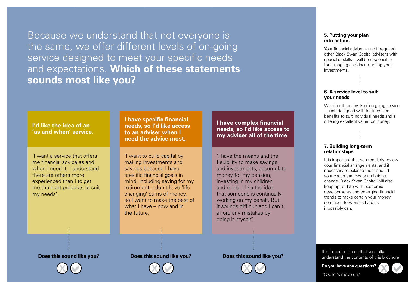Because we understand that not everyone is the same, we offer different levels of on-going service designed to meet your specific needs and expectations. **Which of these statements sounds most like you?**

## **I'd like the idea of an 'as and when' service.**

'I want a service that offers me financial advice as and when I need it. I understand there are others more experienced than I to get me the right products to suit my needs'.

**I have specific financial needs, so I'd like access to an adviser when I need the advice most.**

'I want to build capital by making investments and savings because I have specific financial goals in mind, including saving for my retirement. I don't have 'life changing' sums of money, so I want to make the best of what I have – now and in the future.

**I have complex financial needs, so I'd like access to my adviser all of the time.**

'I have the means and the flexibility to make savings and investments, accumulate money for my pension, investing in my children and more. I like the idea that someone is continually working on my behalf. But it sounds difficult and I can't afford any mistakes by doing it myself'.

#### **5. Putting your plan into action.**

Your financial adviser – and if required other Black Swan Capital advisers with specialist skills – will be responsible for arranging and documenting your investments.

### **6. A service level to suit your needs.**

We offer three levels of on-going service – each designed with features and benefits to suit individual needs and all offering excellent value for money.

## **7. Building long-term relationships.**

It is important that you regularly review your financial arrangements, and if necessary re-balance them should your circumstances or ambitions change. Black Swan Capital will also keep up-to-date with economic developments and emerging financial trends to make certain your money continues to work as hard as it possibly can.

It is important to us that you fully understand the contents of this brochure.

**Do you have any questions?** 'OK, let's move on.'



**Does this sound like you? Does this sound like you? Does this sound like you?**



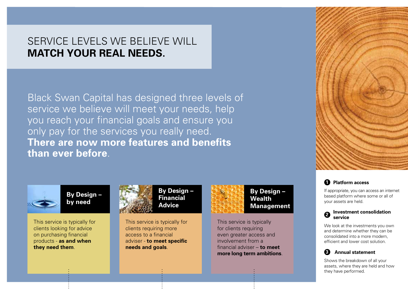# SERVICE LEVELS WE BELIEVE WILL **MATCH YOUR REAL NEEDS.**

Black Swan Capital has designed three levels of service we believe will meet your needs, help you reach your financial goals and ensure you only pay for the services you really need. **There are now more features and benefits than ever before**.



**By Design – by need**

This service is typically for clients looking for advice on purchasing financial products - **as and when they need them**.



**By Design – Financial Advice**

This service is typically for clients requiring more access to a financial adviser - **to meet specific needs and goals**.



**By Design – Wealth Management**

This service is typically for clients requiring even greater access and involvement from a financial adviser – **to meet more long term ambitions**.





If appropriate, you can access an internet based platform where some or all of your assets are held.



We look at the investments you own and determine whether they can be consolidated into a more modern, efficient and lower cost solution.



Shows the breakdown of all your assets, where they are held and how they have performed.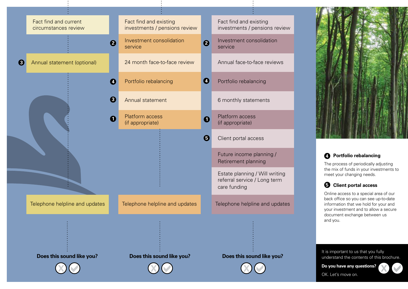



## **Portfolio rebalancing 4**

The process of periodically adjusting the mix of funds in your investments to meet your changing needs.

## **Client portal access 5**

Online access to a special area of our back office so you can see up-to-date information that we hold for your and your investment and to allow a secure document exchange between us and you.

It is important to us that you fully understand the contents of this brochure.

**Do you have any questions?**

OK. Let's move on.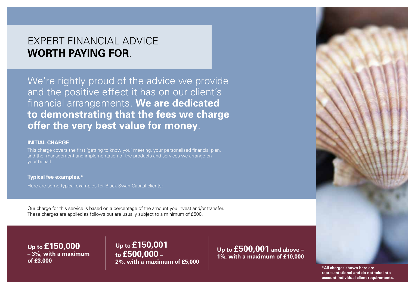# EXPERT FINANCIAL ADVICE **WORTH PAYING FOR**.

We're rightly proud of the advice we provide and the positive effect it has on our client's financial arrangements. **We are dedicated to demonstrating that the fees we charge offer the very best value for money**.

## **INITIAL CHARGE**

This charge covers the first 'getting to know you' meeting, your personalised financial plan, and the management and implementation of the products and services we arrange on your behalf.

## **Typical fee examples.\***

Here are some typical examples for Black Swan Capital clients:

Our charge for this service is based on a percentage of the amount you invest and/or transfer. These charges are applied as follows but are usually subject to a minimum of £500.

**Up to £150,000 – 3%, with a maximum of £3,000**

**Up to £150,001 to £500,000 – 2%, with a maximum of £5,000**

**Up to £500,001 and above – 1%, with a maximum of £10,000**



**\*All charges shown here are representational and do not take into account individual client requirements.**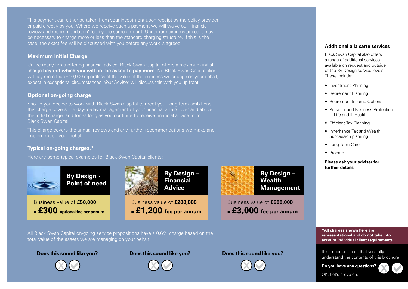This payment can either be taken from your investment upon receipt by the policy provider or paid directly by you. Where we receive such a payment we will waive our 'financial review and recommendation' fee by the same amount. Under rare circumstances it may be necessary to charge more or less than the standard charging structure. If this is the case, the exact fee will be discussed with you before any work is agreed.

## **Maximum Initial Charge**

Unlike many firms offering financial advice, Black Swan Capital offers a maximum initial charge **beyond which you will not be asked to pay more**. No Black Swan Capital client will pay more than £10,000 regardless of the value of the business we arrange on your behalf, expect in exceptional circumstances. Your Adviser will discuss this with you up front.

## **Optional on-going charge**

Should you decide to work with Black Swan Capital to meet your long term ambitions, this charge covers the day-to-day management of your financial affairs over and above the initial charge, and for as long as you continue to receive financial advice from Black Swan Capital.

This charge covers the annual reviews and any further recommendations we make and implement on your behalf.

## **Typical on-going charges.\***

Here are some typical examples for Black Swan Capital clients:



**By Design - Point of need**

Business value of **£50,000 = £300 optional fee per annum**



Business value of **£200,000 = £1,200 fee per annum**



**By Design – Wealth Management**

Business value of **£500,000 = £3,000 fee per annum** **Additional a la carte services** 

Black Swan Capital also offers a range of additional services available on request and outside of the By Design service levels. These include:

- Investment Planning
- Retirement Planning
- Retirement Income Options
- Personal and Business Protection – Life and Ill Health.
- Efficient Tax Planning
- Inheritance Tax and Wealth Succession planning
- Long Term Care
- Probate

**Please ask your adviser for further details.**

**\*All charges shown here are representational and do not take into account individual client requirements.**

It is important to us that you fully understand the contents of this brochure.

**Do you have any questions?**

OK. Let's move on.



All Black Swan Capital on-going service propositions have a 0.6% charge based on the total value of the assets we are managing on your behalf.



**Does this sound like you? Does this sound like you? Does this sound like you?**